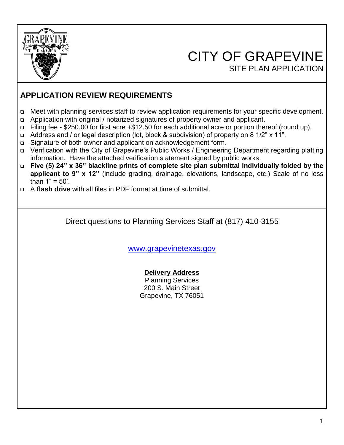

# CITY OF GRAPEVINE SITE PLAN APPLICATION

 $\overline{\phantom{a}}$ 

# **APPLICATION REVIEW REQUIREMENTS**

- ❑ Meet with planning services staff to review application requirements for your specific development.
- ❑ Application with original / notarized signatures of property owner and applicant.
- ❑ Filing fee \$250.00 for first acre +\$12.50 for each additional acre or portion thereof (round up).
- ❑ Address and / or legal description (lot, block & subdivision) of property on 8 1/2" x 11".
- ❑ Signature of both owner and applicant on acknowledgement form.
- ❑ Verification with the City of Grapevine's Public Works / Engineering Department regarding platting information. Have the attached verification statement signed by public works.
- ❑ **Five (5) 24" x 36" blackline prints of complete site plan submittal individually folded by the applicant to 9" x 12"** (include grading, drainage, elevations, landscape, etc.) Scale of no less than  $1" = 50'$ .
- ❑ A **flash drive** with all files in PDF format at time of submittal.

Direct questions to Planning Services Staff at (817) 410-3155

[www.grapevinetexas.gov](http://www.grapevinetexas.gov/)

#### **Delivery Address**

Planning Services 200 S. Main Street Grapevine, TX 76051

 $\overline{\phantom{a}}$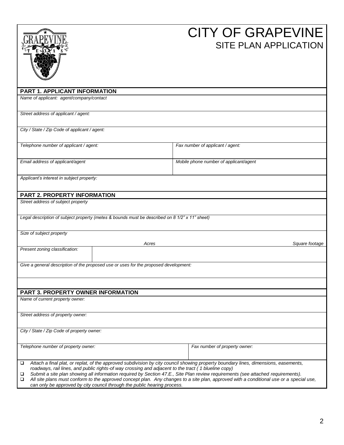|                                                                                                                                                                                                                                                                                                                                                                                                                                                                           | <b>CITY OF GRAPEVINE</b><br><b>SITE PLAN APPLICATION</b>                                                                                |
|---------------------------------------------------------------------------------------------------------------------------------------------------------------------------------------------------------------------------------------------------------------------------------------------------------------------------------------------------------------------------------------------------------------------------------------------------------------------------|-----------------------------------------------------------------------------------------------------------------------------------------|
| PART 1. APPLICANT INFORMATION                                                                                                                                                                                                                                                                                                                                                                                                                                             |                                                                                                                                         |
| Name of applicant: agent/company/contact                                                                                                                                                                                                                                                                                                                                                                                                                                  |                                                                                                                                         |
| Street address of applicant / agent:                                                                                                                                                                                                                                                                                                                                                                                                                                      |                                                                                                                                         |
| City / State / Zip Code of applicant / agent:                                                                                                                                                                                                                                                                                                                                                                                                                             |                                                                                                                                         |
| Telephone number of applicant / agent:                                                                                                                                                                                                                                                                                                                                                                                                                                    | Fax number of applicant / agent:                                                                                                        |
| Email address of applicant/agent                                                                                                                                                                                                                                                                                                                                                                                                                                          | Mobile phone number of applicant/agent                                                                                                  |
| Applicant's interest in subject property:                                                                                                                                                                                                                                                                                                                                                                                                                                 |                                                                                                                                         |
| <b>PART 2. PROPERTY INFORMATION</b>                                                                                                                                                                                                                                                                                                                                                                                                                                       |                                                                                                                                         |
| Street address of subject property                                                                                                                                                                                                                                                                                                                                                                                                                                        |                                                                                                                                         |
| Legal description of subject property (metes & bounds must be described on 8 1/2" x 11" sheet)                                                                                                                                                                                                                                                                                                                                                                            |                                                                                                                                         |
| Size of subject property<br>Acres                                                                                                                                                                                                                                                                                                                                                                                                                                         | Square footage                                                                                                                          |
| Present zoning classification:                                                                                                                                                                                                                                                                                                                                                                                                                                            |                                                                                                                                         |
| Give a general description of the proposed use or uses for the proposed development:                                                                                                                                                                                                                                                                                                                                                                                      |                                                                                                                                         |
|                                                                                                                                                                                                                                                                                                                                                                                                                                                                           |                                                                                                                                         |
| PART 3. PROPERTY OWNER INFORMATION                                                                                                                                                                                                                                                                                                                                                                                                                                        |                                                                                                                                         |
| Name of current property owner:                                                                                                                                                                                                                                                                                                                                                                                                                                           |                                                                                                                                         |
| Street address of property owner:                                                                                                                                                                                                                                                                                                                                                                                                                                         |                                                                                                                                         |
| City / State / Zip Code of property owner:                                                                                                                                                                                                                                                                                                                                                                                                                                |                                                                                                                                         |
| Telephone number of property owner:                                                                                                                                                                                                                                                                                                                                                                                                                                       | Fax number of property owner:                                                                                                           |
| Attach a final plat, or replat, of the approved subdivision by city council showing property boundary lines, dimensions, easements,<br>□<br>roadways, rail lines, and public rights-of way crossing and adjacent to the tract (1 blueline copy)<br>Submit a site plan showing all information required by Section 47.E., Site Plan review requirements (see attached requirements).<br>❏<br>❏<br>can only be approved by city council through the public hearing process. | All site plans must conform to the approved concept plan. Any changes to a site plan, approved with a conditional use or a special use, |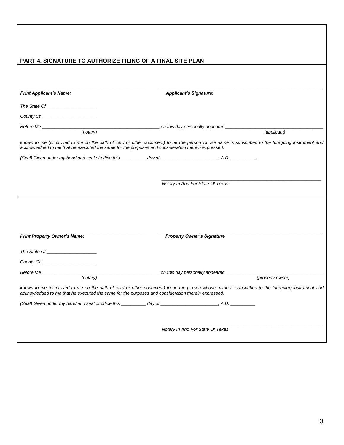| PART 4. SIGNATURE TO AUTHORIZE FILING OF A FINAL SITE PLAN                                         |                                                                                                                                                                                                                                                          |
|----------------------------------------------------------------------------------------------------|----------------------------------------------------------------------------------------------------------------------------------------------------------------------------------------------------------------------------------------------------------|
|                                                                                                    |                                                                                                                                                                                                                                                          |
|                                                                                                    |                                                                                                                                                                                                                                                          |
| <b>Print Applicant's Name:</b>                                                                     | <b>Applicant's Signature:</b>                                                                                                                                                                                                                            |
|                                                                                                    |                                                                                                                                                                                                                                                          |
|                                                                                                    |                                                                                                                                                                                                                                                          |
|                                                                                                    | (applicant)                                                                                                                                                                                                                                              |
|                                                                                                    |                                                                                                                                                                                                                                                          |
| acknowledged to me that he executed the same for the purposes and consideration therein expressed. | known to me (or proved to me on the oath of card or other document) to be the person whose name is subscribed to the foregoing instrument and                                                                                                            |
|                                                                                                    |                                                                                                                                                                                                                                                          |
|                                                                                                    |                                                                                                                                                                                                                                                          |
|                                                                                                    |                                                                                                                                                                                                                                                          |
|                                                                                                    | Notary In And For State Of Texas                                                                                                                                                                                                                         |
|                                                                                                    |                                                                                                                                                                                                                                                          |
|                                                                                                    |                                                                                                                                                                                                                                                          |
|                                                                                                    |                                                                                                                                                                                                                                                          |
|                                                                                                    |                                                                                                                                                                                                                                                          |
|                                                                                                    |                                                                                                                                                                                                                                                          |
| <b>Print Property Owner's Name:</b>                                                                | <b>Property Owner's Signature</b>                                                                                                                                                                                                                        |
|                                                                                                    |                                                                                                                                                                                                                                                          |
|                                                                                                    |                                                                                                                                                                                                                                                          |
|                                                                                                    |                                                                                                                                                                                                                                                          |
| Before Me<br>(notary)                                                                              | and this day personally appeared <b>container the set of the set of the set of the set of the set of the set of the set of the set of the set of the set of the set of the set of the set of the set of the set of the set of th</b><br>(property owner) |
| acknowledged to me that he executed the same for the purposes and consideration therein expressed. | known to me (or proved to me on the oath of card or other document) to be the person whose name is subscribed to the foregoing instrument and                                                                                                            |
|                                                                                                    |                                                                                                                                                                                                                                                          |
|                                                                                                    |                                                                                                                                                                                                                                                          |
|                                                                                                    | Notary In And For State Of Texas                                                                                                                                                                                                                         |

 $\overline{\phantom{a}}$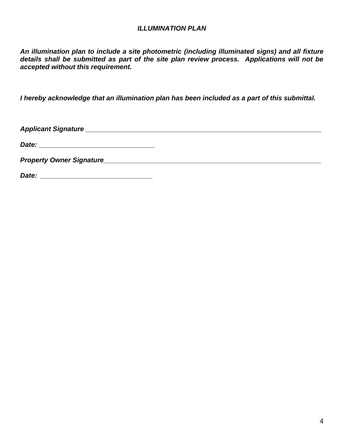#### *ILLUMINATION PLAN*

*An illumination plan to include a site photometric (including illuminated signs) and all fixture details shall be submitted as part of the site plan review process. Applications will not be accepted without this requirement.*

*I hereby acknowledge that an illumination plan has been included as a part of this submittal.*

*Applicant Signature \_\_\_\_\_\_\_\_\_\_\_\_\_\_\_\_\_\_\_\_\_\_\_\_\_\_\_\_\_\_\_\_\_\_\_\_\_\_\_\_\_\_\_\_\_\_\_\_\_\_\_\_\_\_\_\_\_\_\_\_\_\_\_*

*Date: \_\_\_\_\_\_\_\_\_\_\_\_\_\_\_\_\_\_\_\_\_\_\_\_\_\_\_\_\_\_\_*

*Property Owner Signature\_\_\_\_\_\_\_\_\_\_\_\_\_\_\_\_\_\_\_\_\_\_\_\_\_\_\_\_\_\_\_\_\_\_\_\_\_\_\_\_\_\_\_\_\_\_\_\_\_\_\_\_\_\_\_\_\_\_*

*Date: \_\_\_\_\_\_\_\_\_\_\_\_\_\_\_\_\_\_\_\_\_\_\_\_\_\_\_\_\_\_*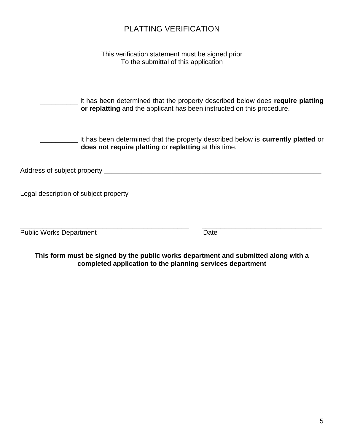# PLATTING VERIFICATION

This verification statement must be signed prior To the submittal of this application

\_\_\_\_\_\_\_\_\_\_ It has been determined that the property described below does **require platting or replatting** and the applicant has been instructed on this procedure.

\_\_\_\_\_\_\_\_\_\_ It has been determined that the property described below is **currently platted** or **does not require platting** or **replatting** at this time.

Address of subject property \_\_\_\_\_\_\_\_\_\_\_\_\_\_\_\_\_\_\_\_\_\_\_\_\_\_\_\_\_\_\_\_\_\_\_\_\_\_\_\_\_\_\_\_\_\_\_\_\_\_\_\_\_\_\_\_\_\_

Legal description of subject property \_\_\_\_\_\_\_\_\_\_\_\_\_\_\_\_\_\_\_\_\_\_\_\_\_\_\_\_\_\_\_\_\_\_\_\_\_\_\_\_\_\_\_\_\_\_\_\_\_\_\_

| <b>Public Works Department</b> | Date |
|--------------------------------|------|
|--------------------------------|------|

**This form must be signed by the public works department and submitted along with a completed application to the planning services department**

\_\_\_\_\_\_\_\_\_\_\_\_\_\_\_\_\_\_\_\_\_\_\_\_\_\_\_\_\_\_\_\_\_\_\_\_\_\_\_\_\_\_\_\_\_ \_\_\_\_\_\_\_\_\_\_\_\_\_\_\_\_\_\_\_\_\_\_\_\_\_\_\_\_\_\_\_\_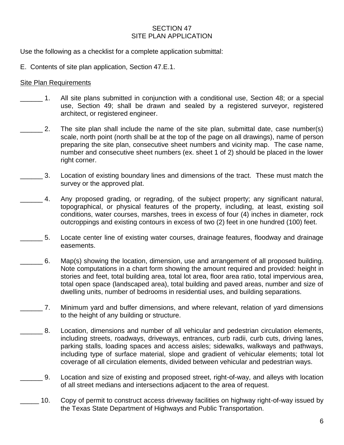#### SECTION 47 SITE PLAN APPLICATION

Use the following as a checklist for a complete application submittal:

E. Contents of site plan application, Section 47.E.1.

#### Site Plan Requirements

- \_\_\_\_\_\_ 1. All site plans submitted in conjunction with a conditional use, Section 48; or a special use, Section 49; shall be drawn and sealed by a registered surveyor, registered architect, or registered engineer.
- \_\_\_\_\_\_ 2. The site plan shall include the name of the site plan, submittal date, case number(s) scale, north point (north shall be at the top of the page on all drawings), name of person preparing the site plan, consecutive sheet numbers and vicinity map. The case name, number and consecutive sheet numbers (ex. sheet 1 of 2) should be placed in the lower right corner.
- \_\_\_\_\_\_ 3. Location of existing boundary lines and dimensions of the tract. These must match the survey or the approved plat.
- 4. Any proposed grading, or regrading, of the subject property; any significant natural, topographical, or physical features of the property, including, at least, existing soil conditions, water courses, marshes, trees in excess of four (4) inches in diameter, rock outcroppings and existing contours in excess of two (2) feet in one hundred (100) feet.
- \_\_\_\_\_\_ 5. Locate center line of existing water courses, drainage features, floodway and drainage easements.
- \_\_\_\_\_\_ 6. Map(s) showing the location, dimension, use and arrangement of all proposed building. Note computations in a chart form showing the amount required and provided: height in stories and feet, total building area, total lot area, floor area ratio, total impervious area, total open space (landscaped area), total building and paved areas, number and size of dwelling units, number of bedrooms in residential uses, and building separations.
- \_\_\_\_\_\_ 7. Minimum yard and buffer dimensions, and where relevant, relation of yard dimensions to the height of any building or structure.
- \_\_\_\_\_\_ 8. Location, dimensions and number of all vehicular and pedestrian circulation elements, including streets, roadways, driveways, entrances, curb radii, curb cuts, driving lanes, parking stalls, loading spaces and access aisles; sidewalks, walkways and pathways, including type of surface material, slope and gradient of vehicular elements; total lot coverage of all circulation elements, divided between vehicular and pedestrian ways.
	- \_\_\_\_\_\_ 9. Location and size of existing and proposed street, right-of-way, and alleys with location of all street medians and intersections adjacent to the area of request.
- \_\_\_\_\_ 10. Copy of permit to construct access driveway facilities on highway right-of-way issued by the Texas State Department of Highways and Public Transportation.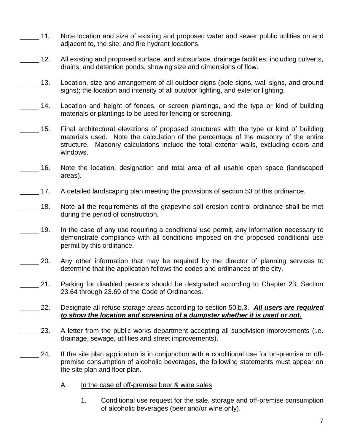- \_\_\_\_\_ 11. Note location and size of existing and proposed water and sewer public utilities on and adjacent to, the site; and fire hydrant locations.
- \_\_\_\_\_ 12. All existing and proposed surface, and subsurface, drainage facilities; including culverts, drains, and detention ponds, showing size and dimensions of flow.
- 13. Location, size and arrangement of all outdoor signs (pole signs, wall signs, and ground signs); the location and intensity of all outdoor lighting, and exterior lighting.
- 14. Location and height of fences, or screen plantings, and the type or kind of building materials or plantings to be used for fencing or screening.
- 15. Final architectural elevations of proposed structures with the type or kind of building materials used. Note the calculation of the percentage of the masonry of the entire structure. Masonry calculations include the total exterior walls, excluding doors and windows.
- \_\_\_\_\_ 16. Note the location, designation and total area of all usable open space (landscaped areas).
- 17. A detailed landscaping plan meeting the provisions of section 53 of this ordinance.
- 18. Note all the requirements of the grapevine soil erosion control ordinance shall be met during the period of construction.
- 19. In the case of any use requiring a conditional use permit, any information necessary to demonstrate compliance with all conditions imposed on the proposed conditional use permit by this ordinance.
- 20. Any other information that may be required by the director of planning services to determine that the application follows the codes and ordinances of the city.
- 21. Parking for disabled persons should be designated according to Chapter 23, Section 23.64 through 23.69 of the Code of Ordinances.
- \_\_\_\_\_ 22. Designate all refuse storage areas according to section 50.b.3. *All users are required to show the location and screening of a dumpster whether it is used or not.*
- 23. A letter from the public works department accepting all subdivision improvements (i.e. drainage, sewage, utilities and street improvements).
- 24. If the site plan application is in conjunction with a conditional use for on-premise or offpremise consumption of alcoholic beverages, the following statements must appear on the site plan and floor plan.
	- A. In the case of off-premise beer & wine sales
		- 1. Conditional use request for the sale, storage and off-premise consumption of alcoholic beverages (beer and/or wine only).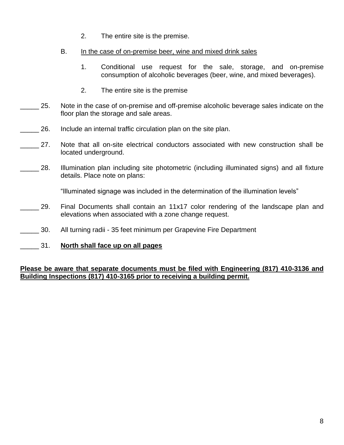- 2. The entire site is the premise.
- B. In the case of on-premise beer, wine and mixed drink sales
	- 1. Conditional use request for the sale, storage, and on-premise consumption of alcoholic beverages (beer, wine, and mixed beverages).
	- 2. The entire site is the premise
- 25. Note in the case of on-premise and off-premise alcoholic beverage sales indicate on the floor plan the storage and sale areas.
- \_\_\_\_\_ 26. Include an internal traffic circulation plan on the site plan.
- 27. Note that all on-site electrical conductors associated with new construction shall be located underground.
- 28. Illumination plan including site photometric (including illuminated signs) and all fixture details. Place note on plans:

"Illuminated signage was included in the determination of the illumination levels"

- \_\_\_\_\_ 29. Final Documents shall contain an 11x17 color rendering of the landscape plan and elevations when associated with a zone change request.
- \_\_\_\_\_ 30. All turning radii 35 feet minimum per Grapevine Fire Department
- \_\_\_\_\_ 31. **North shall face up on all pages**

#### **Please be aware that separate documents must be filed with Engineering (817) 410-3136 and Building Inspections (817) 410-3165 prior to receiving a building permit.**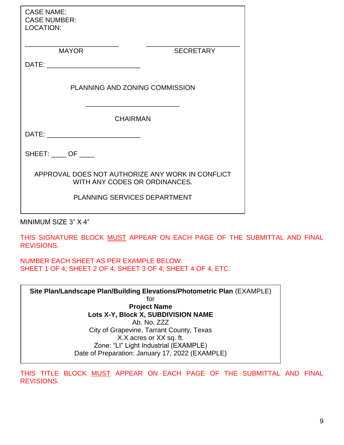| <b>SECRETARY</b>                                                                  |  |
|-----------------------------------------------------------------------------------|--|
|                                                                                   |  |
| PLANNING AND ZONING COMMISSION                                                    |  |
| <b>CHAIRMAN</b>                                                                   |  |
|                                                                                   |  |
|                                                                                   |  |
| APPROVAL DOES NOT AUTHORIZE ANY WORK IN CONFLICT<br>WITH ANY CODES OR ORDINANCES. |  |
| PLANNING SERVICES DEPARTMENT                                                      |  |
|                                                                                   |  |

MINIMUM SIZE 3" X 4"

THIS SIGNATURE BLOCK MUST APPEAR ON EACH PAGE OF THE SUBMITTAL AND FINAL REVISIONS.

NUMBER EACH SHEET AS PER EXAMPLE BELOW: SHEET 1 OF 4; SHEET 2 OF 4; SHEET 3 OF 4; SHEET 4 OF 4, ETC.

**Site Plan/Landscape Plan/Building Elevations/Photometric Plan** (EXAMPLE) for **Project Name Lots X-Y, Block X, SUBDIVISION NAME** Ab. No. ZZZ City of Grapevine, Tarrant County, Texas X.X acres or XX sq. ft. Zone: "LI" Light Industrial (EXAMPLE) Date of Preparation: January 17, 2022 (EXAMPLE)

THIS TITLE BLOCK MUST APPEAR ON EACH PAGE OF THE SUBMITTAL AND FINAL REVISIONS.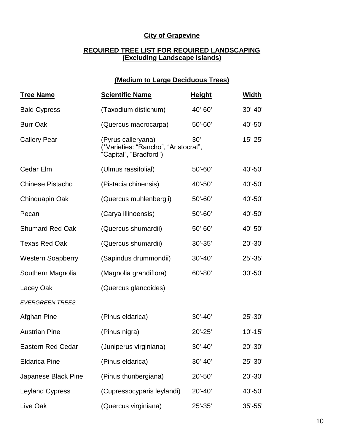### **City of Grapevine**

#### **REQUIRED TREE LIST FOR REQUIRED LANDSCAPING (Excluding Landscape Islands)**

### **(Medium to Large Deciduous Trees)**

| <b>Tree Name</b>         | <b>Scientific Name</b>                                                               | <b>Height</b> | <b>Width</b> |
|--------------------------|--------------------------------------------------------------------------------------|---------------|--------------|
| <b>Bald Cypress</b>      | (Taxodium distichum)                                                                 | 40'-60'       | $30' - 40'$  |
| <b>Burr Oak</b>          | (Quercus macrocarpa)                                                                 | 50'-60'       | 40'-50'      |
| <b>Callery Pear</b>      | (Pyrus calleryana)<br>(*Varieties: "Rancho", "Aristocrat",<br>"Capital", "Bradford") | 30'           | $15' - 25'$  |
| Cedar Elm                | (Ulmus rassifolial)                                                                  | $50' - 60'$   | 40'-50'      |
| <b>Chinese Pistacho</b>  | (Pistacia chinensis)                                                                 | 40'-50'       | 40'-50'      |
| Chinquapin Oak           | (Quercus muhlenbergii)                                                               | 50'-60'       | 40'-50'      |
| Pecan                    | (Carya illinoensis)                                                                  | 50'-60'       | 40'-50'      |
| <b>Shumard Red Oak</b>   | (Quercus shumardii)                                                                  | 50'-60'       | 40'-50'      |
| <b>Texas Red Oak</b>     | (Quercus shumardii)                                                                  | $30' - 35'$   | 20'-30'      |
| <b>Western Soapberry</b> | (Sapindus drummondii)                                                                | $30' - 40'$   | $25' - 35'$  |
| Southern Magnolia        | (Magnolia grandiflora)                                                               | $60' - 80'$   | $30' - 50'$  |
| Lacey Oak                | (Quercus glancoides)                                                                 |               |              |
| <b>EVERGREEN TREES</b>   |                                                                                      |               |              |
| Afghan Pine              | (Pinus eldarica)                                                                     | $30' - 40'$   | 25'-30'      |
| <b>Austrian Pine</b>     | (Pinus nigra)                                                                        | $20' - 25'$   | $10' - 15'$  |
| <b>Eastern Red Cedar</b> | (Juniperus virginiana)                                                               | $30' - 40'$   | 20'-30'      |
| <b>Eldarica Pine</b>     | (Pinus eldarica)                                                                     | $30' - 40'$   | 25'-30'      |
| Japanese Black Pine      | (Pinus thunbergiana)                                                                 | 20'-50'       | 20'-30'      |
| <b>Leyland Cypress</b>   | (Cupressocyparis leylandi)                                                           | 20'-40'       | 40'-50'      |
| Live Oak                 | (Quercus virginiana)                                                                 | 25'-35'       | $35' - 55'$  |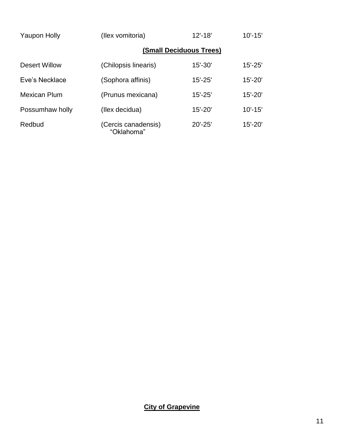| <b>Yaupon Holly</b>  | (Ilex vomitoria)                  | $12' - 18'$             | $10' - 15'$ |
|----------------------|-----------------------------------|-------------------------|-------------|
|                      |                                   | (Small Deciduous Trees) |             |
| <b>Desert Willow</b> | (Chilopsis linearis)              | $15' - 30'$             | $15' - 25'$ |
| Eve's Necklace       | (Sophora affinis)                 | $15' - 25'$             | $15' - 20'$ |
| Mexican Plum         | (Prunus mexicana)                 | $15' - 25'$             | $15' - 20'$ |
| Possumhaw holly      | (Ilex decidua)                    | $15' - 20'$             | $10' - 15'$ |
| Redbud               | (Cercis canadensis)<br>"Oklahoma" | $20' - 25'$             | $15' - 20'$ |

# **City of Grapevine**